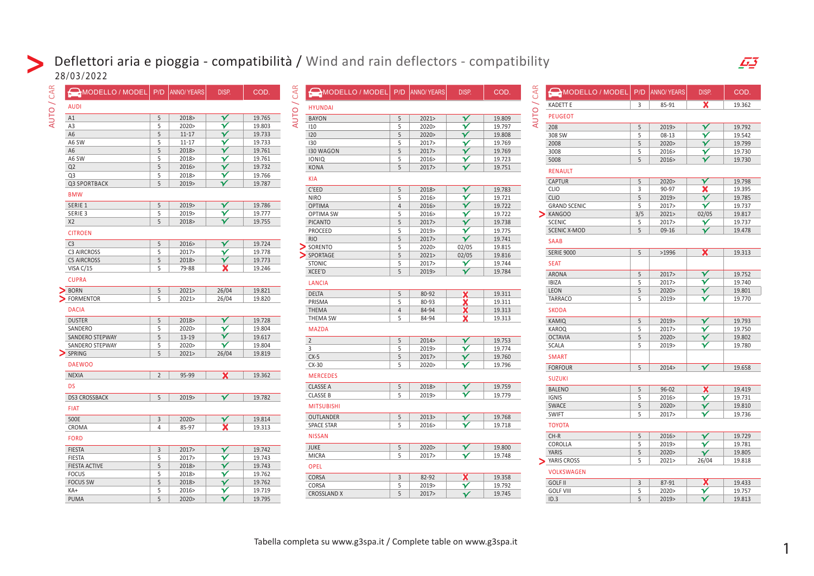## Deflettori aria e pioggia - compatibilità / Wind and rain deflectors - compatibility 28/03/2022

| CAR<br>MODELLO / MODEL P/D ANNO/YEARS   |                |           | DISP.                   | COD.   | CAR<br>MODELLO / MODEL   P/D   ANNO/ YEARS |                     |                | DISP.                                   | COD.             | $\mathfrak{S}$ | MODELLO / MODEL                      | P/D            | ANNO/YEARS    | DISP.                                              | COD.             |
|-----------------------------------------|----------------|-----------|-------------------------|--------|--------------------------------------------|---------------------|----------------|-----------------------------------------|------------------|----------------|--------------------------------------|----------------|---------------|----------------------------------------------------|------------------|
| $\overline{\phantom{0}}$<br><b>AUDI</b> |                |           |                         |        | <b>HYUNDAI</b>                             |                     |                |                                         |                  |                | <b>KADETT E</b>                      | $\overline{3}$ | 85-91         | $\overline{\mathbf{x}}$                            | 19.362           |
| <b>AUTO</b><br>A1                       | 5              | 2018>     | $\checkmark$            | 19.765 | <b>AUTO</b><br><b>BAYON</b>                | 5                   | 2021           | $\checkmark$                            | 19.809           | <b>AUTO</b>    | <b>PEUGEOT</b>                       |                |               |                                                    |                  |
| A <sub>3</sub>                          | 5              | 2020>     | $\overline{\mathbf{v}}$ | 19.803 | 110                                        | 5                   | 2020>          | $\overline{\mathbf{Y}}$                 | 19.797           |                | 208                                  | 5              | 2019>         | $\checkmark$                                       | 19.792           |
| A <sub>6</sub>                          | 5              | $11 - 17$ | $\checkmark$            | 19.733 | 120                                        | 5                   | 2020           | $\overline{\mathbf{v}}$                 | 19.808           |                | 308 SW                               | 5              | $08-13$       | $\checkmark$                                       | 19.542           |
| A6 SW                                   | 5              | $11 - 17$ | $\checkmark$            | 19.733 | 130                                        | 5                   | 2017>          | $\checkmark$                            | 19.769           |                | 2008                                 | 5              | 2020          | $\checkmark$                                       | 19.799           |
|                                         | 5              | 2018>     | $\overline{\mathbf{v}}$ | 19.761 | <b>I30 WAGON</b>                           | 5                   | 2017>          | $\checkmark$                            | 19.769           |                | 3008                                 | 5              | 2016>         | $\checkmark$                                       | 19.730           |
| A6 SW                                   | 5              | 2018>     | $\checkmark$            | 19.761 | <b>IONIQ</b>                               | 5                   | 2016>          | $\checkmark$                            | 19.723           |                | 5008                                 | 5              | 2016>         | $\checkmark$                                       | 19.730           |
| Q2                                      | 5              | 2016      | $\overline{\mathbf{Y}}$ | 19.732 | <b>KONA</b>                                | 5                   | 2017>          | $\checkmark$                            | 19.751           |                | <b>RENAULT</b>                       |                |               |                                                    |                  |
| Q3                                      | 5              | 2018>     | $\checkmark$            | 19.766 | <b>KIA</b>                                 |                     |                |                                         |                  |                |                                      |                |               |                                                    |                  |
| Q3 SPORTBACK                            | 5              | 2019>     | $\checkmark$            | 19.787 |                                            |                     |                |                                         |                  |                | CAPTUR<br><b>CLIO</b>                | 5              | 2020<br>90-97 | $\overline{\mathsf{v}}$<br>X                       | 19.798           |
| <b>BMW</b>                              |                |           |                         |        | C'EED                                      | 5                   | 2018>          | $\checkmark$<br>$\overline{\mathbf{v}}$ | 19.783           |                |                                      | 3<br>5         |               | $\checkmark$                                       | 19.395           |
| SERIE 1                                 | 5              | 2019>     | $\checkmark$            | 19.786 | <b>NIRO</b>                                | 5<br>$\overline{4}$ | 2016>          | $\checkmark$                            | 19.721<br>19.722 |                | <b>CLIO</b>                          | 5              | 2019>         | $\checkmark$                                       | 19.785           |
| SERIE 3                                 | 5              | 2019>     | $\overline{\mathbf{v}}$ | 19.777 | <b>OPTIMA</b><br><b>OPTIMA SW</b>          | 5                   | 2016><br>2016> | $\checkmark$                            | 19.722           |                | <b>GRAND SCENIC</b><br>$\sum$ KANGOO | 3/5            | 2017><br>2021 | 02/05                                              | 19.737<br>19.817 |
| X <sub>2</sub>                          | 5              | 2018>     | $\checkmark$            | 19.755 | <b>PICANTO</b>                             | 5                   | 2017>          | $\overline{\mathbf{Y}}$                 | 19.738           |                | <b>SCENIC</b>                        | 5              | 2017>         | $\checkmark$                                       | 19.737           |
|                                         |                |           |                         |        | PROCEED                                    | 5                   | 2019>          | $\checkmark$                            | 19.775           |                | <b>SCENIC X-MOD</b>                  | 5              | 09-16         | $\checkmark$                                       | 19.478           |
| <b>CITROEN</b>                          |                |           |                         |        | <b>RIO</b>                                 | 5                   | 2017>          | $\checkmark$                            | 19.741           |                |                                      |                |               |                                                    |                  |
| C <sub>3</sub>                          | 5              | 2016      | $\checkmark$            | 19.724 | $\sum$ sorento                             | 5                   | 2020>          | 02/05                                   | 19.815           |                | <b>SAAB</b>                          |                |               |                                                    |                  |
| <b>C3 AIRCROSS</b>                      | 5              | 2017>     | $\checkmark$            | 19.778 | SPORTAGE                                   | 5                   | 2021           | 02/05                                   | 19.816           |                | <b>SERIE 9000</b>                    | 5              | >1996         | <b>X</b>                                           | 19.313           |
| <b>C5 AIRCROSS</b>                      | 5              | 2018>     | $\checkmark$            | 19.773 | <b>STONIC</b>                              | 5                   | 2017>          | $\checkmark$                            | 19.744           |                | <b>SEAT</b>                          |                |               |                                                    |                  |
| VISA C/15                               | 5              | 79-88     | $\overline{\mathbf{x}}$ | 19.246 | XCEE'D                                     | 5                   | 2019>          | $\checkmark$                            | 19.784           |                |                                      |                |               |                                                    |                  |
| <b>CUPRA</b>                            |                |           |                         |        |                                            |                     |                |                                         |                  |                | <b>ARONA</b>                         | 5              | 2017          | $\checkmark$                                       | 19.752           |
|                                         |                |           |                         |        | <b>LANCIA</b>                              |                     |                |                                         |                  |                | <b>IBIZA</b>                         | 5              | 2017>         | $\overline{\mathbf{v}}$<br>$\overline{\mathbf{v}}$ | 19.740           |
| BORN                                    | 5              | 2021      | 26/04                   | 19.821 | <b>DELTA</b>                               | 5                   | 80-92          | $\overline{\mathbf{x}}$                 | 19.311           |                | LEON                                 | 5              | 2020>         |                                                    | 19.801           |
| <b>FORMENTOR</b>                        | 5              | 2021>     | 26/04                   | 19.820 | PRISMA                                     | 5                   | 80-93          | ×                                       | 19.311           |                | <b>TARRACO</b>                       | 5              | 2019>         | $\checkmark$                                       | 19.770           |
| <b>DACIA</b>                            |                |           |                         |        | THEMA                                      | $\overline{4}$      | 84-94          | x                                       | 19.313           |                | <b>SKODA</b>                         |                |               |                                                    |                  |
| <b>DUSTER</b>                           | 5              | 2018>     | $\overline{\mathbf{v}}$ | 19.728 | THEMA SW                                   | 5                   | 84-94          | x                                       | 19.313           |                | KAMIQ                                | 5              | 2019>         | $\overline{\mathbf{v}}$                            | 19.793           |
| SANDERO                                 | 5              | 2020>     | $\checkmark$            | 19.804 | <b>MAZDA</b>                               |                     |                |                                         |                  |                | KAROQ                                | 5              | 2017>         | $\checkmark$                                       | 19.750           |
| SANDERO STEPWAY                         | 5              | 13-19     | $\mathbf{\nabla}$       | 19.617 | $\overline{2}$                             | 5                   | 2014           | $\checkmark$                            | 19.753           |                | <b>OCTAVIA</b>                       | 5              | 2020>         | $\overline{\mathbf{Y}}$                            | 19.802           |
| SANDERO STEPWAY                         | 5              | 2020>     | $\overline{\mathbf{Y}}$ | 19.804 | 3                                          | 5                   | 2019>          | $\checkmark$                            | 19.774           |                | SCALA                                | 5              | 2019>         | $\overline{\mathbf{v}}$                            | 19.780           |
| $\sum$ SPRING                           | 5              | 2021      | 26/04                   | 19.819 | $CX-5$                                     | 5                   | 2017>          | $\overline{\mathsf{Y}}$                 | 19.760           |                | <b>SMART</b>                         |                |               |                                                    |                  |
| <b>DAEWOO</b>                           |                |           |                         |        | $CX-30$                                    | 5                   | 2020>          | $\checkmark$                            | 19.796           |                |                                      |                |               |                                                    |                  |
|                                         |                |           |                         |        |                                            |                     |                |                                         |                  |                | <b>FORFOUR</b>                       | 5              | 2014          | $\overline{\mathbf{v}}$                            | 19.658           |
| <b>NEXIA</b>                            | $\overline{2}$ | 95-99     | x                       | 19.362 | <b>MERCEDES</b>                            |                     |                |                                         |                  |                | <b>SUZUKI</b>                        |                |               |                                                    |                  |
| <b>DS</b>                               |                |           |                         |        | <b>CLASSE A</b>                            | 5                   | 2018>          | $\checkmark$                            | 19.759           |                | <b>BALENO</b>                        | 5              | $96 - 02$     | X.                                                 | 19.419           |
| <b>DS3 CROSSBACK</b>                    | 5              | 2019>     | $\checkmark$            | 19.782 | <b>CLASSE B</b>                            | 5                   | 2019>          | $\mathbf v$                             | 19.779           |                | <b>IGNIS</b>                         | 5              | 2016>         | $\checkmark$                                       | 19.731           |
| <b>FIAT</b>                             |                |           |                         |        | <b>MITSUBISHI</b>                          |                     |                |                                         |                  |                | SWACE                                | 5              | 2020          | $\checkmark$                                       | 19.810           |
|                                         |                |           |                         |        | OUTLANDER                                  | 5                   | 2013           | $\checkmark$                            | 19.768           |                | SWIFT                                | 5              | 2017>         | $\overline{\mathbf{v}}$                            | 19.736           |
| 500E                                    | 3              | 2020      | $\checkmark$            | 19.814 | <b>SPACE STAR</b>                          | 5                   | 2016>          | $\checkmark$                            | 19.718           |                | <b>TOYOTA</b>                        |                |               |                                                    |                  |
| CROMA                                   | $\overline{4}$ | 85-97     | X                       | 19.313 |                                            |                     |                |                                         |                  |                |                                      |                |               |                                                    |                  |
| <b>FORD</b>                             |                |           |                         |        | <b>NISSAN</b>                              |                     |                |                                         |                  |                | $CH-R$                               | 5              | 2016>         | $\overline{\mathbf{v}}$                            | 19.729           |
| <b>FIESTA</b>                           | $\overline{3}$ | 2017      | $\overline{\mathbf{v}}$ | 19.742 | JUKE                                       | 5                   | 2020           | $\mathbf{\mathbf{\check{v}}}$           | 19.800           |                | COROLLA                              | 5              | 2019>         | $\checkmark$                                       | 19.781           |
| <b>FIESTA</b>                           | 5              | 2017>     | $\overline{\mathbf{v}}$ | 19.743 | <b>MICRA</b>                               | 5                   | 2017>          | $\checkmark$                            | 19.748           |                | YARIS                                | 5              | 2020>         | $\mathbf{\mathbf{\check{v}}}$                      | 19.805           |
| <b>FIESTA ACTIVE</b>                    | 5              | 2018>     | $\mathbf{\overline{v}}$ | 19.743 | <b>OPEL</b>                                |                     |                |                                         |                  |                | > YARIS CROSS                        | 5              | 2021          | 26/04                                              | 19.818           |
| <b>FOCUS</b>                            | 5              | 2018>     | $\checkmark$            | 19.762 |                                            |                     |                |                                         |                  |                | <b>VOLKSWAGEN</b>                    |                |               |                                                    |                  |
| <b>FOCUS SW</b>                         | 5              | 2018>     | $\checkmark$            | 19.762 | CORSA                                      | $\overline{3}$      | 82-92          | $\overline{\mathbf{x}}$                 | 19.358           |                | <b>GOLF II</b>                       | $\overline{3}$ | 87-91         | $\mathbf x$                                        | 19.433           |
| KA+                                     | 5              | 2016>     | $\checkmark$            | 19.719 | CORSA                                      | 5<br>5              | 2019><br>2017  | $\checkmark$                            | 19.792<br>19.745 |                | <b>GOLF VIII</b>                     | 5              | 2020>         | $\checkmark$                                       | 19.757           |
| <b>PUMA</b>                             | 5              | 2020      | $\checkmark$            | 19.795 | <b>CROSSLAND X</b>                         |                     |                | $\checkmark$                            |                  |                | ID.3                                 | 5              | 2019>         | $\mathbf{v}$                                       | 19.813           |
|                                         |                |           |                         |        |                                            |                     |                |                                         |                  |                |                                      |                |               |                                                    |                  |

| MODELLO / MODEL     | P/D | <b>ANNO/ YEARS</b> | DISP.                   | COD.   |
|---------------------|-----|--------------------|-------------------------|--------|
| <b>KADETT E</b>     | 3   | 85-91              | x                       | 19.362 |
| <b>PEUGEOT</b>      |     |                    |                         |        |
| 208                 | 5   | 2019>              | $\checkmark$            | 19.792 |
| 308 SW              | 5   | $08-13$            | $\checkmark$            | 19.542 |
| 2008                | 5   | 2020>              | V                       | 19.799 |
| 3008                | 5   | 2016>              | V                       | 19.730 |
| 5008                | 5   | 2016>              |                         | 19.730 |
| <b>RENAULT</b>      |     |                    |                         |        |
| <b>CAPTUR</b>       | 5   | 2020               | v                       | 19.798 |
| <b>CLIO</b>         | 3   | 90-97              | x                       | 19.395 |
| <b>CLIO</b>         | 5   | 2019               | $\checkmark$            | 19.785 |
| <b>GRAND SCENIC</b> | 5   | 2017>              | $\checkmark$            | 19.737 |
| <b>KANGOO</b>       | 3/5 | 2021               | 02/05                   | 19.817 |
| <b>SCENIC</b>       | 5   | 2017>              | V                       | 19.737 |
| <b>SCENIC X-MOD</b> | 5   | 09-16              |                         | 19.478 |
| <b>SAAB</b>         |     |                    |                         |        |
| <b>SERIE 9000</b>   | 5   | >1996              | $\overline{\textbf{x}}$ | 19.313 |
| <b>SEAT</b>         |     |                    |                         |        |
| <b>ARONA</b>        | 5   | 2017>              | $\checkmark$            | 19.752 |
| <b>IBIZA</b>        | 5   | 2017               | γ                       | 19.740 |
| <b>LEON</b>         | 5   | 2020>              | $\checkmark$            | 19.801 |
| <b>TARRACO</b>      | 5   | 2019>              |                         | 19.770 |
| <b>SKODA</b>        |     |                    |                         |        |
| <b>KAMIQ</b>        | 5   | 2019>              | ⋎                       | 19.793 |
| <b>KAROQ</b>        | 5   | 2017>              | ν                       | 19.750 |
| <b>OCTAVIA</b>      | 5   | 2020               | v                       | 19.802 |
| <b>SCALA</b>        | 5   | 2019>              |                         | 19.780 |
| <b>SMART</b>        |     |                    |                         |        |
| <b>FORFOUR</b>      | 5   | 2014 >             | $\check{ }$             | 19.658 |
| <b>SUZUKI</b>       |     |                    |                         |        |
| <b>BALENO</b>       | 5   | $96 - 02$          | X                       | 19.419 |
| <b>IGNIS</b>        | 5   | 2016>              | $\checkmark$            | 19.731 |
| <b>SWACE</b>        | 5   | 2020>              | V                       | 19.810 |
| <b>SWIFT</b>        | 5   | 2017>              | γ                       | 19.736 |
| <b>TOYOTA</b>       |     |                    |                         |        |
| CH-R                | 5   | 2016>              | $\checkmark$            | 19.729 |
| COROLLA             | 5   | 2019>              | $\checkmark$            | 19.781 |
| <b>YARIS</b>        | 5   | 2020>              | Y                       | 19.805 |
| YARIS CROSS         | 5   | 2021>              | 26/04                   | 19.818 |
| <b>VOLKSWAGEN</b>   |     |                    |                         |        |
| <b>GOLF II</b>      | 3   | 87-91              | x                       | 19.433 |
| <b>GOLF VIII</b>    | 5   | 2020>              | V                       | 19.757 |
| ID.3                | 5   | 2019>              |                         | 19.813 |

1

 $\overline{F}$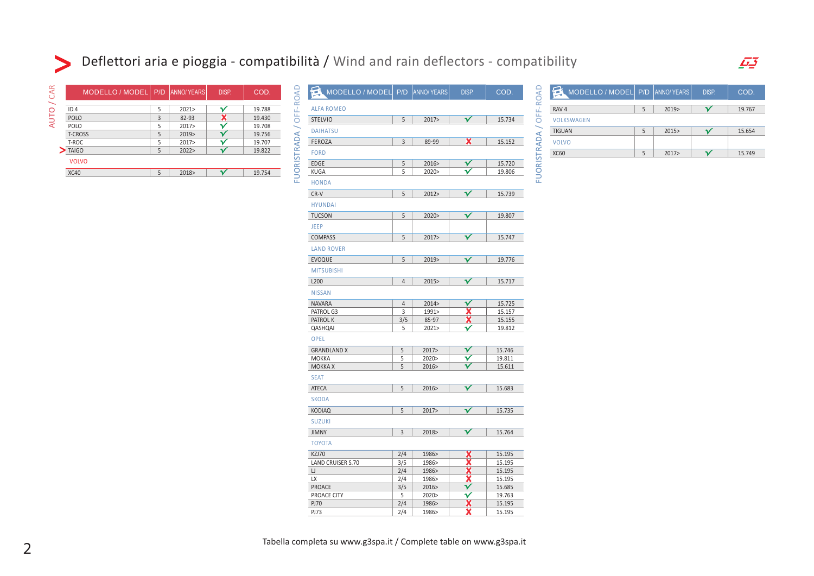## Deflettori aria e pioggia - compatibilità / Wind and rain deflectors - compatibility

| CAR         | MODELLO / MODEL   P/D   ANNO/YEARS |   |       | DISP. | COD.   |
|-------------|------------------------------------|---|-------|-------|--------|
|             | ID.4                               | 5 | 2021  |       | 19.788 |
| <b>AUTO</b> | <b>POLO</b>                        | 3 | 82-93 |       | 19.430 |
|             | POLO                               | 5 | 2017  |       | 19.708 |
|             | <b>T-CROSS</b>                     | 5 | 2019> |       | 19.756 |
|             | T-ROC                              | 5 | 2017  |       | 19.707 |
|             | <b>TAIGO</b>                       |   | 2022> |       | 19.822 |
|             | <b>VOLVO</b>                       |   |       |       |        |
|             | <b>XC40</b>                        | 5 | 2018> |       | 19.754 |

 $\blacktriangleright$ 

| MODELLO / MODEL P/D ANNO YEARS |                |                | DISP.                        | COD.             | OFF-ROAD    | MODELLO / MODEL P/D |            | ANNO/YEARS | DISP.                | COD.   |
|--------------------------------|----------------|----------------|------------------------------|------------------|-------------|---------------------|------------|------------|----------------------|--------|
| <b>ALFA ROMEO</b>              |                |                |                              |                  |             | RAV 4               | $\sqrt{5}$ | 2019>      | $\blacktriangledown$ | 19.767 |
| <b>STELVIO</b>                 | 5              | 2017           | $\checkmark$                 | 15.734           |             | <b>VOLKSWAGEN</b>   |            |            |                      |        |
|                                |                |                |                              |                  |             | <b>TIGUAN</b>       | 5          | 2015       | $\checkmark$         | 15.654 |
|                                | $\overline{3}$ | 89-99          | X                            | 15.152           |             | <b>VOLVO</b>        |            |            |                      |        |
|                                |                |                |                              |                  | FUORISTRADA |                     |            |            |                      |        |
|                                |                |                |                              |                  |             | <b>XC60</b>         | 5          | 2017>      | $\checkmark$         | 15.749 |
|                                | 5<br>5         | 2016><br>2020> | $\checkmark$                 | 15.720           |             |                     |            |            |                      |        |
|                                |                |                | $\checkmark$                 | 19.806           |             |                     |            |            |                      |        |
| <b>HONDA</b>                   |                |                |                              |                  |             |                     |            |            |                      |        |
|                                | 5              | 2012 >         | $\checkmark$                 | 15.739           |             |                     |            |            |                      |        |
| <b>HYUNDAI</b>                 |                |                |                              |                  |             |                     |            |            |                      |        |
| <b>TUCSON</b>                  | 5              | 2020           | $\checkmark$                 | 19.807           |             |                     |            |            |                      |        |
|                                |                |                |                              |                  |             |                     |            |            |                      |        |
| <b>COMPASS</b>                 | 5              | 2017           | $\checkmark$                 | 15.747           |             |                     |            |            |                      |        |
| <b>LAND ROVER</b>              |                |                |                              |                  |             |                     |            |            |                      |        |
|                                |                |                |                              |                  |             |                     |            |            |                      |        |
| <b>EVOQUE</b>                  | 5              | 2019>          | $\checkmark$                 | 19.776           |             |                     |            |            |                      |        |
| <b>MITSUBISHI</b>              |                |                |                              |                  |             |                     |            |            |                      |        |
|                                | $\overline{4}$ | 2015>          | $\checkmark$                 | 15.717           |             |                     |            |            |                      |        |
| <b>NISSAN</b>                  |                |                |                              |                  |             |                     |            |            |                      |        |
| <b>NAVARA</b>                  | $\overline{4}$ | 2014 >         | $\checkmark$                 | 15.725           |             |                     |            |            |                      |        |
| PATROL G3                      | $\overline{3}$ | 1991>          | X                            | 15.157           |             |                     |            |            |                      |        |
| PATROL K                       | 3/5            | 85-97          | $\overline{\mathbf{x}}$      | 15.155           |             |                     |            |            |                      |        |
| QASHQAI                        | 5              | 2021           | $\checkmark$                 | 19.812           |             |                     |            |            |                      |        |
| <b>OPEL</b>                    |                |                |                              |                  |             |                     |            |            |                      |        |
| <b>GRANDLAND X</b>             | $\sqrt{5}$     | 2017>          | $\checkmark$                 | 15.746           |             |                     |            |            |                      |        |
| MOKKA                          | 5              | 2020>          | $\checkmark$                 | 19.811           |             |                     |            |            |                      |        |
| <b>MOKKA X</b>                 | 5              | 2016>          | γ                            | 15.611           |             |                     |            |            |                      |        |
| <b>SEAT</b>                    |                |                |                              |                  |             |                     |            |            |                      |        |
| ATECA                          | 5              | 2016>          | $\checkmark$                 | 15.683           |             |                     |            |            |                      |        |
| <b>SKODA</b>                   |                |                |                              |                  |             |                     |            |            |                      |        |
| <b>KODIAQ</b>                  | 5              | 2017>          | $\checkmark$                 | 15.735           |             |                     |            |            |                      |        |
| <b>SUZUKI</b>                  |                |                |                              |                  |             |                     |            |            |                      |        |
| <b>JIMNY</b>                   | $\mathsf 3$    | 2018>          | $\overline{\mathsf{v}}$      | 15.764           |             |                     |            |            |                      |        |
|                                |                |                |                              |                  |             |                     |            |            |                      |        |
| <b>TOYOTA</b>                  |                |                |                              |                  |             |                     |            |            |                      |        |
| KZJ70                          | 2/4            | 1986>          | X<br>$\overline{\textbf{x}}$ | 15.195           |             |                     |            |            |                      |        |
| LAND CRUISER S.70              | 3/5<br>2/4     | 1986><br>1986> | X                            | 15.195<br>15.195 |             |                     |            |            |                      |        |
| IJ<br>LX                       | 2/4            | 1986>          | x                            | 15.195           |             |                     |            |            |                      |        |
| PROACE                         | 3/5            | 2016>          | $\checkmark$                 | 15.685           |             |                     |            |            |                      |        |
| PROACE CITY                    | 5              | 2020>          | $\checkmark$                 | 19.763           |             |                     |            |            |                      |        |
| <b>PJ70</b>                    | 2/4            | 1986>          | X                            | 15.195           |             |                     |            |            |                      |        |
| <b>PJ73</b>                    | 2/4            | 1986>          | x                            | 15.195           |             |                     |            |            |                      |        |

| MODELLO / MODEL P/D   ANNO/ YEARS |   |      | DISP. | COD.   |
|-----------------------------------|---|------|-------|--------|
| RAV <sub>4</sub>                  | 5 | 2019 |       | 19.767 |
| VOLKSWAGEN                        |   |      |       |        |
| <b>TIGUAN</b>                     |   | 2015 |       | 15.654 |
| VOLVO                             |   |      |       |        |
| <b>XC60</b>                       |   | 2017 |       | 15.749 |

 $\overline{F}$ 

|  | Tabella completa su www.g3spa.it / Complete table on www.g3spa.it |  |
|--|-------------------------------------------------------------------|--|